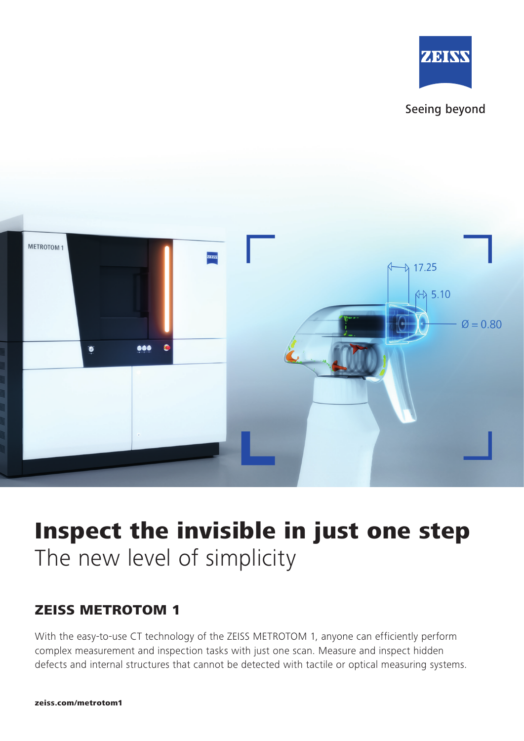





# Inspect the invisible in just one step The new level of simplicity

### ZEISS METROTOM 1

With the easy-to-use CT technology of the ZEISS METROTOM 1, anyone can efficiently perform complex measurement and inspection tasks with just one scan. Measure and inspect hidden defects and internal structures that cannot be detected with tactile or optical measuring systems.